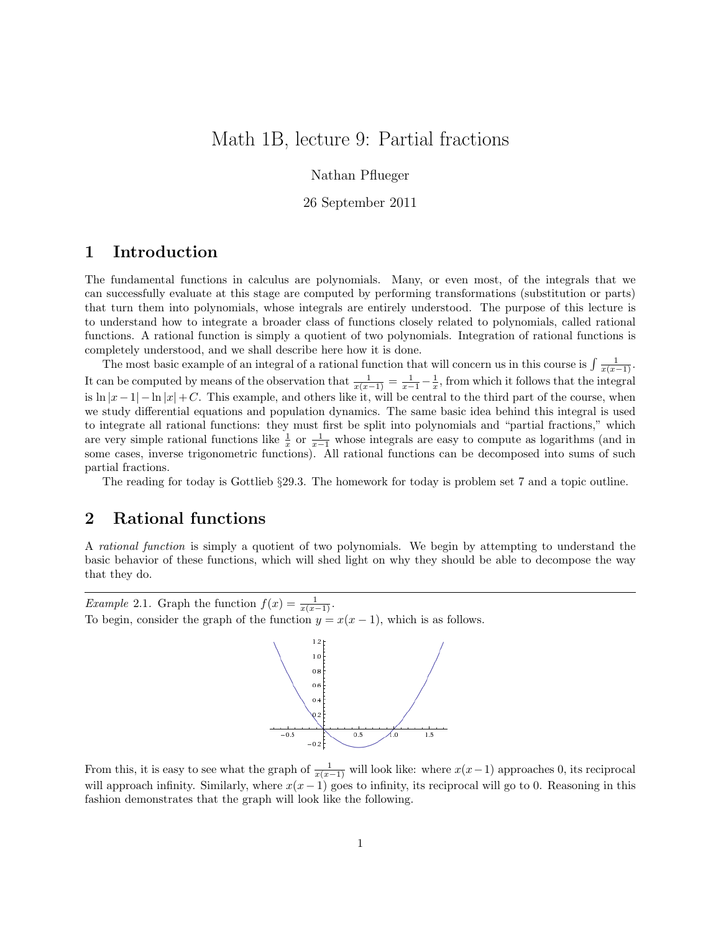# Math 1B, lecture 9: Partial fractions

Nathan Pflueger

26 September 2011

## 1 Introduction

The fundamental functions in calculus are polynomials. Many, or even most, of the integrals that we can successfully evaluate at this stage are computed by performing transformations (substitution or parts) that turn them into polynomials, whose integrals are entirely understood. The purpose of this lecture is to understand how to integrate a broader class of functions closely related to polynomials, called rational functions. A rational function is simply a quotient of two polynomials. Integration of rational functions is completely understood, and we shall describe here how it is done.

The most basic example of an integral of a rational function that will concern us in this course is  $\int \frac{1}{x(x-1)}$ . It can be computed by means of the observation that  $\frac{1}{x(x-1)} = \frac{1}{x-1} - \frac{1}{x}$ , from which it follows that the integral is  $\ln |x-1| - \ln |x| + C$ . This example, and others like it, will be central to the third part of the course, when we study differential equations and population dynamics. The same basic idea behind this integral is used to integrate all rational functions: they must first be split into polynomials and "partial fractions," which are very simple rational functions like  $\frac{1}{x}$  or  $\frac{1}{x-1}$  whose integrals are easy to compute as logarithms (and in some cases, inverse trigonometric functions). All rational functions can be decomposed into sums of such partial fractions.

The reading for today is Gottlieb §29.3. The homework for today is problem set 7 and a topic outline.

### 2 Rational functions

A rational function is simply a quotient of two polynomials. We begin by attempting to understand the basic behavior of these functions, which will shed light on why they should be able to decompose the way that they do.

*Example* 2.1. Graph the function  $f(x) = \frac{1}{x(x-1)}$ . To begin, consider the graph of the function  $y = x(x - 1)$ , which is as follows.



From this, it is easy to see what the graph of  $\frac{1}{x(x-1)}$  will look like: where  $x(x-1)$  approaches 0, its reciprocal will approach infinity. Similarly, where  $x(x - 1)$  goes to infinity, its reciprocal will go to 0. Reasoning in this fashion demonstrates that the graph will look like the following.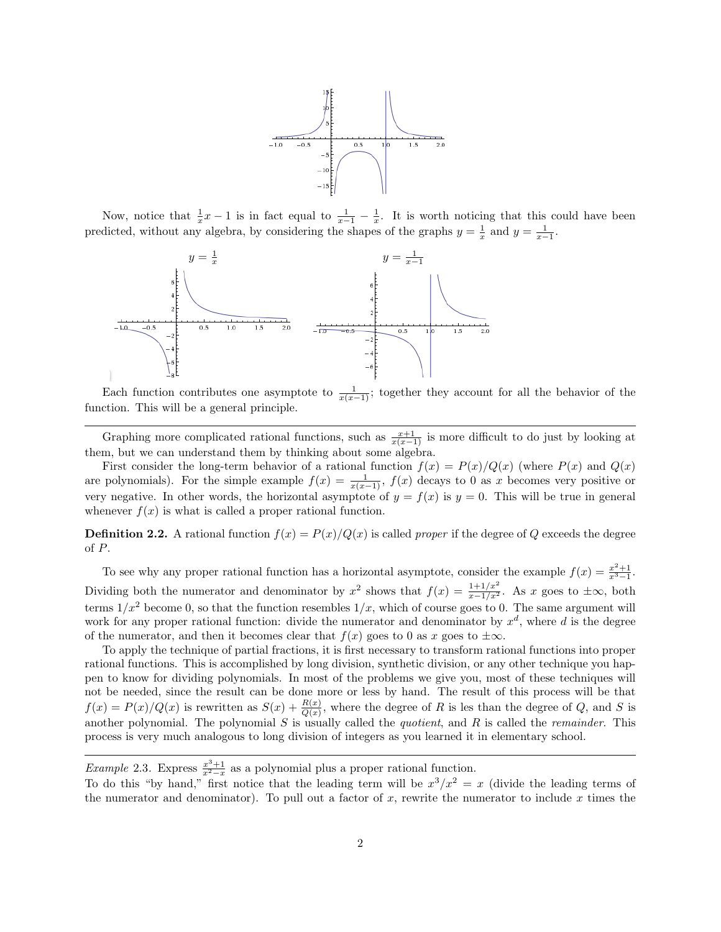

Now, notice that  $\frac{1}{x}x - 1$  is in fact equal to  $\frac{1}{x-1} - \frac{1}{x}$ . It is worth noticing that this could have been predicted, without any algebra, by considering the shapes of the graphs  $y = \frac{1}{x}$  and  $y = \frac{1}{x-1}$ .



Each function contributes one asymptote to  $\frac{1}{x(x-1)}$ ; together they account for all the behavior of the function. This will be a general principle.

Graphing more complicated rational functions, such as  $\frac{x+1}{x(x-1)}$  is more difficult to do just by looking at them, but we can understand them by thinking about some algebra.

First consider the long-term behavior of a rational function  $f(x) = P(x)/Q(x)$  (where  $P(x)$  and  $Q(x)$ ) are polynomials). For the simple example  $f(x) = \frac{1}{x(x-1)}$ ,  $f(x)$  decays to 0 as x becomes very positive or very negative. In other words, the horizontal asymptote of  $y = f(x)$  is  $y = 0$ . This will be true in general whenever  $f(x)$  is what is called a proper rational function.

**Definition 2.2.** A rational function  $f(x) = P(x)/Q(x)$  is called *proper* if the degree of Q exceeds the degree of P.

To see why any proper rational function has a horizontal asymptote, consider the example  $f(x) = \frac{x^2+1}{x^3-1}$ . Dividing both the numerator and denominator by  $x^2$  shows that  $f(x) = \frac{1+1/x^2}{x-1/x^2}$ . As x goes to  $\pm \infty$ , both terms  $1/x^2$  become 0, so that the function resembles  $1/x$ , which of course goes to 0. The same argument will work for any proper rational function: divide the numerator and denominator by  $x^d$ , where d is the degree of the numerator, and then it becomes clear that  $f(x)$  goes to 0 as x goes to  $\pm \infty$ .

To apply the technique of partial fractions, it is first necessary to transform rational functions into proper rational functions. This is accomplished by long division, synthetic division, or any other technique you happen to know for dividing polynomials. In most of the problems we give you, most of these techniques will not be needed, since the result can be done more or less by hand. The result of this process will be that  $f(x) = P(x)/Q(x)$  is rewritten as  $S(x) + \frac{R(x)}{Q(x)}$ , where the degree of R is les than the degree of Q, and S is another polynomial. The polynomial  $S$  is usually called the *quotient*, and  $R$  is called the *remainder*. This process is very much analogous to long division of integers as you learned it in elementary school.

Example 2.3. Express  $\frac{x^3+1}{x^2-x}$  as a polynomial plus a proper rational function.

To do this "by hand," first notice that the leading term will be  $x^3/x^2 = x$  (divide the leading terms of the numerator and denominator). To pull out a factor of x, rewrite the numerator to include x times the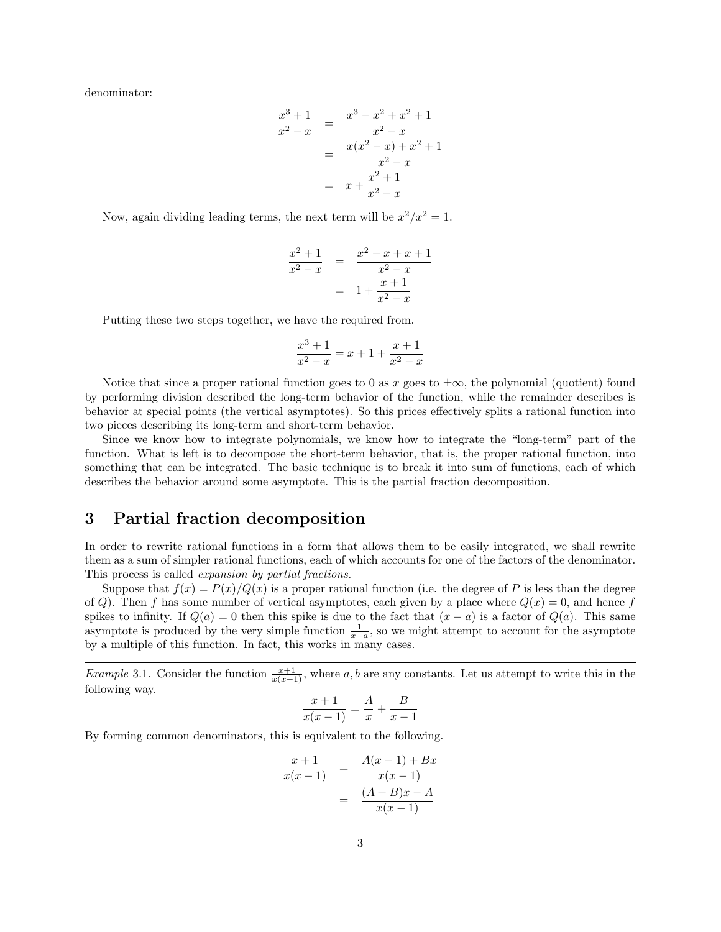denominator:

$$
\frac{x^3+1}{x^2-x} = \frac{x^3-x^2+x^2+1}{x^2-x}
$$

$$
= \frac{x(x^2-x)+x^2+1}{x^2-x}
$$

$$
= x + \frac{x^2+1}{x^2-x}
$$

Now, again dividing leading terms, the next term will be  $x^2/x^2 = 1$ .

$$
\frac{x^2+1}{x^2-x} = \frac{x^2-x+x+1}{x^2-x}
$$

$$
= 1 + \frac{x+1}{x^2-x}
$$

Putting these two steps together, we have the required from.

$$
\frac{x^3+1}{x^2-x} = x+1+\frac{x+1}{x^2-x}
$$

Notice that since a proper rational function goes to 0 as x goes to  $\pm \infty$ , the polynomial (quotient) found by performing division described the long-term behavior of the function, while the remainder describes is behavior at special points (the vertical asymptotes). So this prices effectively splits a rational function into two pieces describing its long-term and short-term behavior.

Since we know how to integrate polynomials, we know how to integrate the "long-term" part of the function. What is left is to decompose the short-term behavior, that is, the proper rational function, into something that can be integrated. The basic technique is to break it into sum of functions, each of which describes the behavior around some asymptote. This is the partial fraction decomposition.

## 3 Partial fraction decomposition

In order to rewrite rational functions in a form that allows them to be easily integrated, we shall rewrite them as a sum of simpler rational functions, each of which accounts for one of the factors of the denominator. This process is called expansion by partial fractions.

Suppose that  $f(x) = P(x)/Q(x)$  is a proper rational function (i.e. the degree of P is less than the degree of Q). Then f has some number of vertical asymptotes, each given by a place where  $Q(x) = 0$ , and hence f spikes to infinity. If  $Q(a) = 0$  then this spike is due to the fact that  $(x - a)$  is a factor of  $Q(a)$ . This same asymptote is produced by the very simple function  $\frac{1}{x-a}$ , so we might attempt to account for the asymptote by a multiple of this function. In fact, this works in many cases.

Example 3.1. Consider the function  $\frac{x+1}{x(x-1)}$ , where a, b are any constants. Let us attempt to write this in the following way.

$$
\frac{x+1}{x(x-1)} = \frac{A}{x} + \frac{B}{x-1}
$$

By forming common denominators, this is equivalent to the following.

$$
\frac{x+1}{x(x-1)} = \frac{A(x-1) + Bx}{x(x-1)} = \frac{(A+B)x - A}{x(x-1)}
$$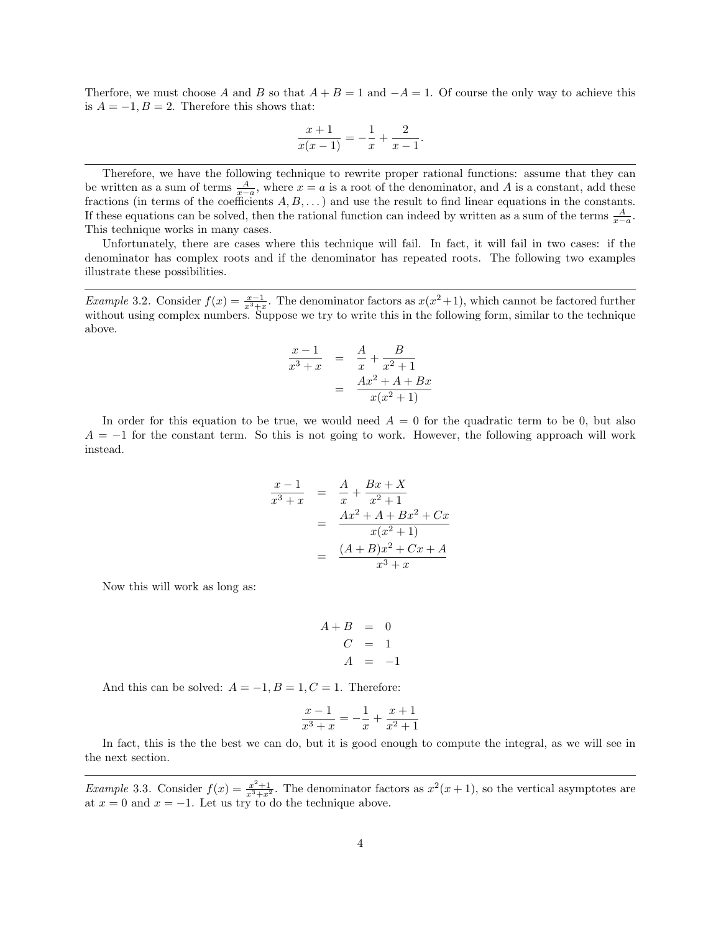Therfore, we must choose A and B so that  $A + B = 1$  and  $-A = 1$ . Of course the only way to achieve this is  $A = -1, B = 2$ . Therefore this shows that:

$$
\frac{x+1}{x(x-1)} = -\frac{1}{x} + \frac{2}{x-1}.
$$

Therefore, we have the following technique to rewrite proper rational functions: assume that they can be written as a sum of terms  $\frac{A}{x-a}$ , where  $x = a$  is a root of the denominator, and A is a constant, add these fractions (in terms of the coefficients  $A, B, \ldots$ ) and use the result to find linear equations in the constants. If these equations can be solved, then the rational function can indeed by written as a sum of the terms  $\frac{A}{x-a}$ . This technique works in many cases.

Unfortunately, there are cases where this technique will fail. In fact, it will fail in two cases: if the denominator has complex roots and if the denominator has repeated roots. The following two examples illustrate these possibilities.

Example 3.2. Consider  $f(x) = \frac{x-1}{x^3+x}$ . The denominator factors as  $x(x^2+1)$ , which cannot be factored further without using complex numbers. Suppose we try to write this in the following form, similar to the technique above.

$$
\frac{x-1}{x^3+x} = \frac{A}{x} + \frac{B}{x^2+1} = \frac{Ax^2 + A + Bx}{x(x^2+1)}
$$

In order for this equation to be true, we would need  $A = 0$  for the quadratic term to be 0, but also  $A = -1$  for the constant term. So this is not going to work. However, the following approach will work instead.

$$
\frac{x-1}{x^3+x} = \frac{A}{x} + \frac{Bx + X}{x^2 + 1}
$$

$$
= \frac{Ax^2 + A + Bx^2 + Cx}{x(x^2 + 1)}
$$

$$
= \frac{(A+B)x^2 + Cx + A}{x^3 + x}
$$

Now this will work as long as:

$$
A + B = 0
$$
  

$$
C = 1
$$
  

$$
A = -1
$$

And this can be solved:  $A = -1, B = 1, C = 1$ . Therefore:

$$
\frac{x-1}{x^3+x} = -\frac{1}{x} + \frac{x+1}{x^2+1}
$$

In fact, this is the the best we can do, but it is good enough to compute the integral, as we will see in the next section.

*Example* 3.3. Consider  $f(x) = \frac{x^2+1}{x^3+x^2}$ . The denominator factors as  $x^2(x+1)$ , so the vertical asymptotes are at  $x = 0$  and  $x = -1$ . Let us try to do the technique above.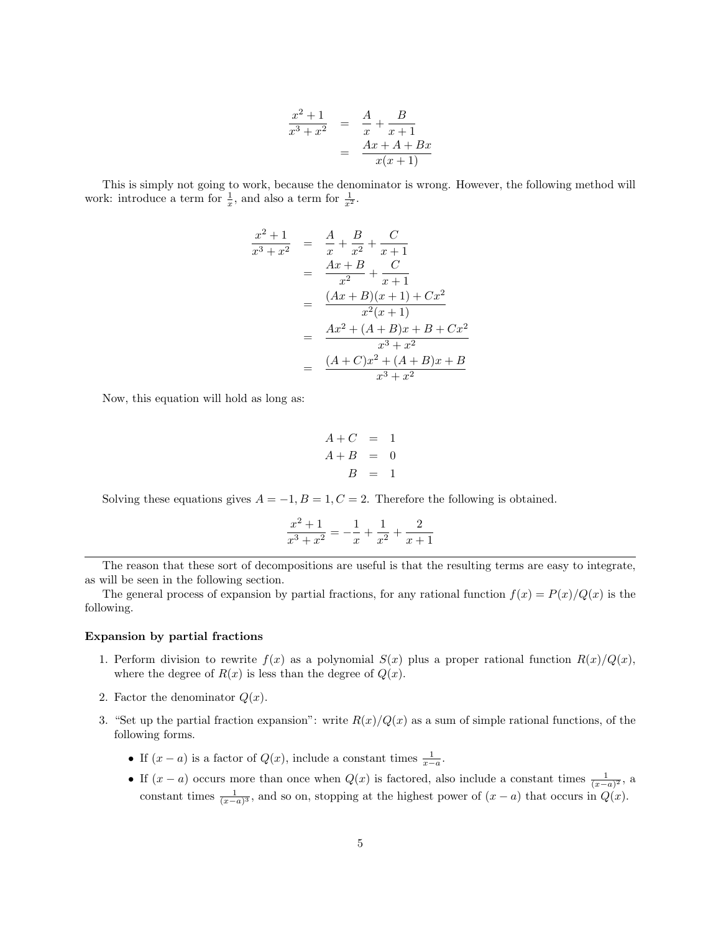$$
\frac{x^2 + 1}{x^3 + x^2} = \frac{A}{x} + \frac{B}{x + 1} \n= \frac{Ax + A + Bx}{x(x + 1)}
$$

This is simply not going to work, because the denominator is wrong. However, the following method will work: introduce a term for  $\frac{1}{x}$ , and also a term for  $\frac{1}{x^2}$ .

$$
\frac{x^2 + 1}{x^3 + x^2} = \frac{A}{x} + \frac{B}{x^2} + \frac{C}{x+1}
$$
  
= 
$$
\frac{Ax + B}{x^2} + \frac{C}{x+1}
$$
  
= 
$$
\frac{(Ax + B)(x + 1) + Cx^2}{x^2(x+1)}
$$
  
= 
$$
\frac{Ax^2 + (A + B)x + B + Cx^2}{x^3 + x^2}
$$
  
= 
$$
\frac{(A + C)x^2 + (A + B)x + B}{x^3 + x^2}
$$

Now, this equation will hold as long as:

$$
A + C = 1
$$
  

$$
A + B = 0
$$
  

$$
B = 1
$$

Solving these equations gives  $A = -1, B = 1, C = 2$ . Therefore the following is obtained.

$$
\frac{x^2+1}{x^3+x^2} = -\frac{1}{x} + \frac{1}{x^2} + \frac{2}{x+1}
$$

The reason that these sort of decompositions are useful is that the resulting terms are easy to integrate, as will be seen in the following section.

The general process of expansion by partial fractions, for any rational function  $f(x) = P(x)/Q(x)$  is the following.

#### Expansion by partial fractions

- 1. Perform division to rewrite  $f(x)$  as a polynomial  $S(x)$  plus a proper rational function  $R(x)/Q(x)$ , where the degree of  $R(x)$  is less than the degree of  $Q(x)$ .
- 2. Factor the denominator  $Q(x)$ .
- 3. "Set up the partial fraction expansion": write  $R(x)/Q(x)$  as a sum of simple rational functions, of the following forms.
	- If  $(x a)$  is a factor of  $Q(x)$ , include a constant times  $\frac{1}{x-a}$ .
	- If  $(x a)$  occurs more than once when  $Q(x)$  is factored, also include a constant times  $\frac{1}{(x-a)^2}$ , a constant times  $\frac{1}{(x-a)^3}$ , and so on, stopping at the highest power of  $(x-a)$  that occurs in  $Q(x)$ .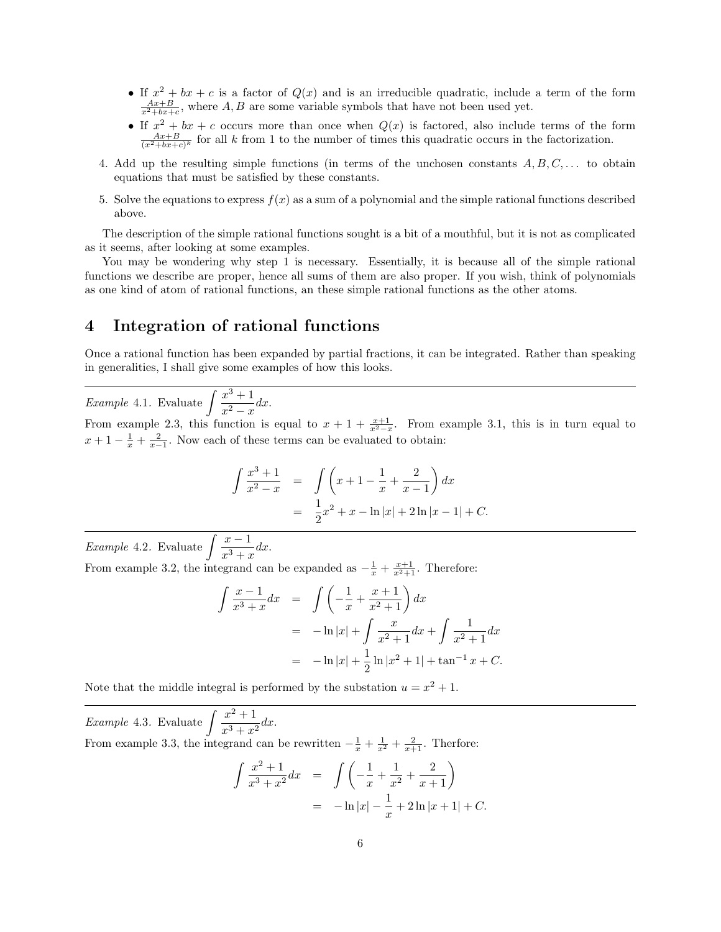- If  $x^2 + bx + c$  is a factor of  $Q(x)$  and is an irreducible quadratic, include a term of the form  $\frac{Ax+B}{x^2+bx+c}$ , where A, B are some variable symbols that have not been used yet.
- If  $x^2 + bx + c$  occurs more than once when  $Q(x)$  is factored, also include terms of the form  $\frac{Ax+B}{(x^2+bx+c)^k}$  for all k from 1 to the number of times this quadratic occurs in the factorization.
- 4. Add up the resulting simple functions (in terms of the unchosen constants  $A, B, C, \ldots$  to obtain equations that must be satisfied by these constants.
- 5. Solve the equations to express  $f(x)$  as a sum of a polynomial and the simple rational functions described above.

The description of the simple rational functions sought is a bit of a mouthful, but it is not as complicated as it seems, after looking at some examples.

You may be wondering why step 1 is necessary. Essentially, it is because all of the simple rational functions we describe are proper, hence all sums of them are also proper. If you wish, think of polynomials as one kind of atom of rational functions, an these simple rational functions as the other atoms.

## 4 Integration of rational functions

Once a rational function has been expanded by partial fractions, it can be integrated. Rather than speaking in generalities, I shall give some examples of how this looks.

*Example* 4.1. Evaluate  $\int \frac{x^3+1}{2}$  $\frac{x}{x^2-x}dx.$ 

From example 2.3, this function is equal to  $x + 1 + \frac{x+1}{x^2-x}$ . From example 3.1, this is in turn equal to  $x+1-\frac{1}{x}+\frac{2}{x-1}$ . Now each of these terms can be evaluated to obtain:

$$
\int \frac{x^3 + 1}{x^2 - x} = \int \left( x + 1 - \frac{1}{x} + \frac{2}{x - 1} \right) dx
$$
  
= 
$$
\frac{1}{2}x^2 + x - \ln|x| + 2\ln|x - 1| + C.
$$

*Example* 4.2. Evaluate  $\int \frac{x-1}{x}$  $\frac{x}{x^3+x}dx.$ 

From example 3.2, the integrand can be expanded as  $-\frac{1}{x} + \frac{x+1}{x^2+1}$ . Therefore:

$$
\int \frac{x-1}{x^3+x} dx = \int \left(-\frac{1}{x} + \frac{x+1}{x^2+1}\right) dx
$$
  
=  $-\ln|x| + \int \frac{x}{x^2+1} dx + \int \frac{1}{x^2+1} dx$   
=  $-\ln|x| + \frac{1}{2}\ln|x^2+1| + \tan^{-1}x + C.$ 

Note that the middle integral is performed by the substation  $u = x^2 + 1$ .

*Example* 4.3. Evaluate  $\int \frac{x^2+1}{x^3+x^2} dx$  $\frac{x}{x^3+x^2}dx.$ From example 3.3, the integrand can be rewritten  $-\frac{1}{x} + \frac{1}{x^2} + \frac{2}{x+1}$ . Therfore:

$$
\int \frac{x^2 + 1}{x^3 + x^2} dx = \int \left( -\frac{1}{x} + \frac{1}{x^2} + \frac{2}{x+1} \right)
$$
  
=  $-\ln|x| - \frac{1}{x} + 2\ln|x+1| + C.$